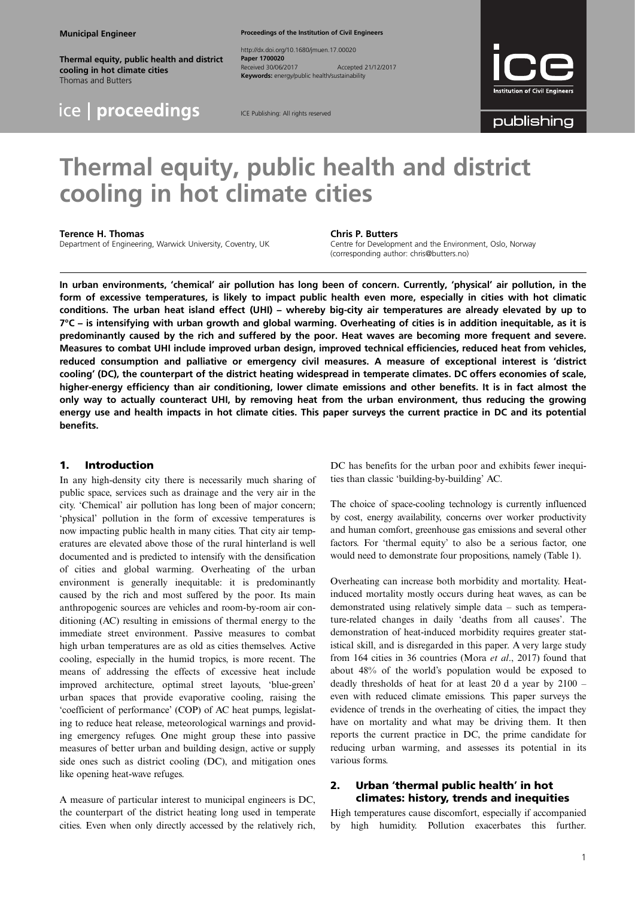#### Municipal Engineer

Thermal equity, public health and district cooling in hot climate cities Thomas and Butters

ice | proceedings

Proceedings of the Institution of Civil Engineers

http://dx.doi.org/10.1680/jmuen.17.00020 **Paper 1700020**<br>Received 30/06/2017 Received 30/06/2017 Accepted 21/12/2017 Keywords: energy/public health/sustainability

**Institution of Civil Eng** publishing

ICE Publishing: All rights reserved

# Thermal equity, public health and district cooling in hot climate cities

#### Terence H. Thomas

Department of Engineering, Warwick University, Coventry, UK

#### Chris P. Butters

Centre for Development and the Environment, Oslo, Norway (corresponding author: [chris@butters.no\)](mailto:chris@butters.no)

In urban environments, 'chemical' air pollution has long been of concern. Currently, 'physical' air pollution, in the form of excessive temperatures, is likely to impact public health even more, especially in cities with hot climatic conditions. The urban heat island effect (UHI) – whereby big-city air temperatures are already elevated by up to  $7^{\circ}$ C – is intensifying with urban growth and global warming. Overheating of cities is in addition inequitable, as it is predominantly caused by the rich and suffered by the poor. Heat waves are becoming more frequent and severe. Measures to combat UHI include improved urban design, improved technical efficiencies, reduced heat from vehicles, reduced consumption and palliative or emergency civil measures. A measure of exceptional interest is 'district cooling' (DC), the counterpart of the district heating widespread in temperate climates. DC offers economies of scale, higher-energy efficiency than air conditioning, lower climate emissions and other benefits. It is in fact almost the only way to actually counteract UHI, by removing heat from the urban environment, thus reducing the growing energy use and health impacts in hot climate cities. This paper surveys the current practice in DC and its potential benefits.

## 1. Introduction

In any high-density city there is necessarily much sharing of public space, services such as drainage and the very air in the city. 'Chemical' air pollution has long been of major concern; 'physical' pollution in the form of excessive temperatures is now impacting public health in many cities. That city air temperatures are elevated above those of the rural hinterland is well documented and is predicted to intensify with the densification of cities and global warming. Overheating of the urban environment is generally inequitable: it is predominantly caused by the rich and most suffered by the poor. Its main anthropogenic sources are vehicles and room-by-room air conditioning (AC) resulting in emissions of thermal energy to the immediate street environment. Passive measures to combat high urban temperatures are as old as cities themselves. Active cooling, especially in the humid tropics, is more recent. The means of addressing the effects of excessive heat include improved architecture, optimal street layouts, 'blue-green' urban spaces that provide evaporative cooling, raising the 'coefficient of performance' (COP) of AC heat pumps, legislating to reduce heat release, meteorological warnings and providing emergency refuges. One might group these into passive measures of better urban and building design, active or supply side ones such as district cooling (DC), and mitigation ones like opening heat-wave refuges.

A measure of particular interest to municipal engineers is DC, the counterpart of the district heating long used in temperate cities. Even when only directly accessed by the relatively rich,

DC has benefits for the urban poor and exhibits fewer inequities than classic 'building-by-building' AC.

The choice of space-cooling technology is currently influenced by cost, energy availability, concerns over worker productivity and human comfort, greenhouse gas emissions and several other factors. For 'thermal equity' to also be a serious factor, one would need to demonstrate four propositions, namely [\(Table 1\)](#page-1-0).

Overheating can increase both morbidity and mortality. Heatinduced mortality mostly occurs during heat waves, as can be demonstrated using relatively simple data – such as temperature-related changes in daily 'deaths from all causes'. The demonstration of heat-induced morbidity requires greater statistical skill, and is disregarded in this paper. A very large study from 164 cities in 36 countries (Mora et al[., 2017](#page-8-0)) found that about 48% of the world's population would be exposed to deadly thresholds of heat for at least 20 d a year by 2100 – even with reduced climate emissions. This paper surveys the evidence of trends in the overheating of cities, the impact they have on mortality and what may be driving them. It then reports the current practice in DC, the prime candidate for reducing urban warming, and assesses its potential in its various forms.

# 2. Urban 'thermal public health' in hot climates: history, trends and inequities

High temperatures cause discomfort, especially if accompanied by high humidity. Pollution exacerbates this further.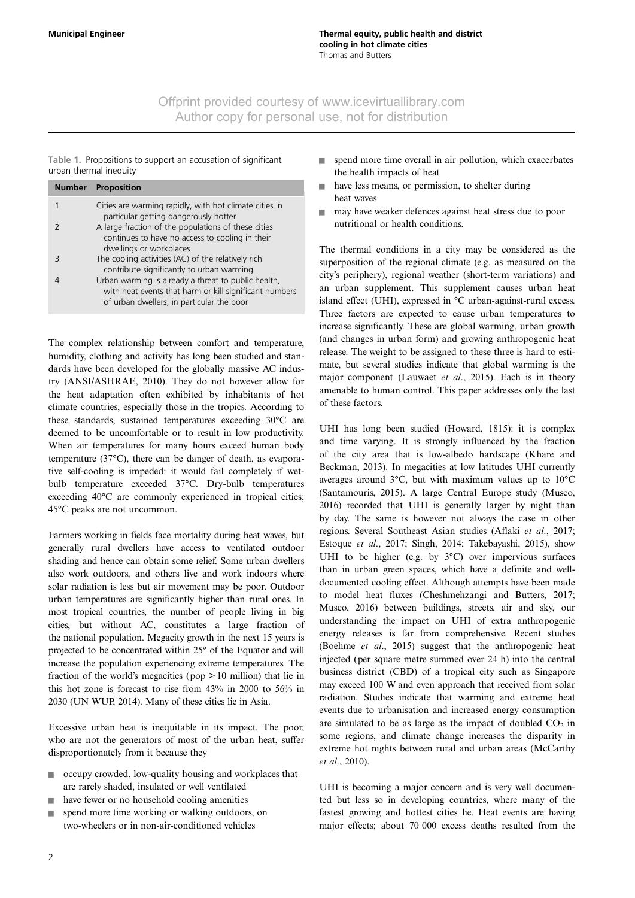<span id="page-1-0"></span>Table 1. Propositions to support an accusation of significant urban thermal inequity

|               | <b>Number</b> Proposition                                                                                                                                  |
|---------------|------------------------------------------------------------------------------------------------------------------------------------------------------------|
| 1             | Cities are warming rapidly, with hot climate cities in<br>particular getting dangerously hotter                                                            |
| $\mathcal{P}$ | A large fraction of the populations of these cities<br>continues to have no access to cooling in their<br>dwellings or workplaces                          |
| 3             | The cooling activities (AC) of the relatively rich<br>contribute significantly to urban warming                                                            |
|               | Urban warming is already a threat to public health,<br>with heat events that harm or kill significant numbers<br>of urban dwellers, in particular the poor |

The complex relationship between comfort and temperature, humidity, clothing and activity has long been studied and standards have been developed for the globally massive AC industry [\(ANSI/ASHRAE, 2010\)](#page-8-0). They do not however allow for the heat adaptation often exhibited by inhabitants of hot climate countries, especially those in the tropics. According to these standards, sustained temperatures exceeding 30°C are deemed to be uncomfortable or to result in low productivity. When air temperatures for many hours exceed human body temperature (37°C), there can be danger of death, as evaporative self-cooling is impeded: it would fail completely if wetbulb temperature exceeded 37°C. Dry-bulb temperatures exceeding 40°C are commonly experienced in tropical cities; 45°C peaks are not uncommon.

Farmers working in fields face mortality during heat waves, but generally rural dwellers have access to ventilated outdoor shading and hence can obtain some relief. Some urban dwellers also work outdoors, and others live and work indoors where solar radiation is less but air movement may be poor. Outdoor urban temperatures are significantly higher than rural ones. In most tropical countries, the number of people living in big cities, but without AC, constitutes a large fraction of the national population. Megacity growth in the next 15 years is projected to be concentrated within 25° of the Equator and will increase the population experiencing extreme temperatures. The fraction of the world's megacities (pop > 10 million) that lie in this hot zone is forecast to rise from 43% in 2000 to 56% in 2030 [\(UN WUP, 2014](#page-9-0)). Many of these cities lie in Asia.

Excessive urban heat is inequitable in its impact. The poor, who are not the generators of most of the urban heat, suffer disproportionately from it because they

- $\Box$  occupy crowded, low-quality housing and workplaces that are rarely shaded, insulated or well ventilated
- $\blacksquare$  have fewer or no household cooling amenities
- $\Box$  spend more time working or walking outdoors, on two-wheelers or in non-air-conditioned vehicles
- $\Box$  spend more time overall in air pollution, which exacerbates the health impacts of heat
- $\blacksquare$  have less means, or permission, to shelter during heat waves
- $\Box$  may have weaker defences against heat stress due to poor nutritional or health conditions.

The thermal conditions in a city may be considered as the superposition of the regional climate (e.g. as measured on the city's periphery), regional weather (short-term variations) and an urban supplement. This supplement causes urban heat island effect (UHI), expressed in °C urban-against-rural excess. Three factors are expected to cause urban temperatures to increase significantly. These are global warming, urban growth (and changes in urban form) and growing anthropogenic heat release. The weight to be assigned to these three is hard to estimate, but several studies indicate that global warming is the major component [\(Lauwaet](#page-8-0) et al., 2015). Each is in theory amenable to human control. This paper addresses only the last of these factors.

UHI has long been studied ([Howard, 1815](#page-8-0)): it is complex and time varying. It is strongly influenced by the fraction of the city area that is low-albedo hardscape ([Khare and](#page-8-0) [Beckman, 2013\)](#page-8-0). In megacities at low latitudes UHI currently averages around 3°C, but with maximum values up to 10°C [\(Santamouris, 2015\)](#page-9-0). A large Central Europe study [\(Musco,](#page-8-0) [2016](#page-8-0)) recorded that UHI is generally larger by night than by day. The same is however not always the case in other regions. Several Southeast Asian studies (Aflaki et al[., 2017;](#page-7-0) [Estoque](#page-8-0) et al., 2017; [Singh, 2014; Takebayashi, 2015](#page-9-0)), show UHI to be higher (e.g. by 3°C) over impervious surfaces than in urban green spaces, which have a definite and welldocumented cooling effect. Although attempts have been made to model heat fluxes [\(Cheshmehzangi and Butters, 2017;](#page-8-0) [Musco, 2016](#page-8-0)) between buildings, streets, air and sky, our understanding the impact on UHI of extra anthropogenic energy releases is far from comprehensive. Recent studies [\(Boehme](#page-8-0) et al., 2015) suggest that the anthropogenic heat injected (per square metre summed over 24 h) into the central business district (CBD) of a tropical city such as Singapore may exceed 100 W and even approach that received from solar radiation. Studies indicate that warming and extreme heat events due to urbanisation and increased energy consumption are simulated to be as large as the impact of doubled  $CO<sub>2</sub>$  in some regions, and climate change increases the disparity in extreme hot nights between rural and urban areas [\(McCarthy](#page-8-0) et al[., 2010](#page-8-0)).

UHI is becoming a major concern and is very well documented but less so in developing countries, where many of the fastest growing and hottest cities lie. Heat events are having major effects; about 70 000 excess deaths resulted from the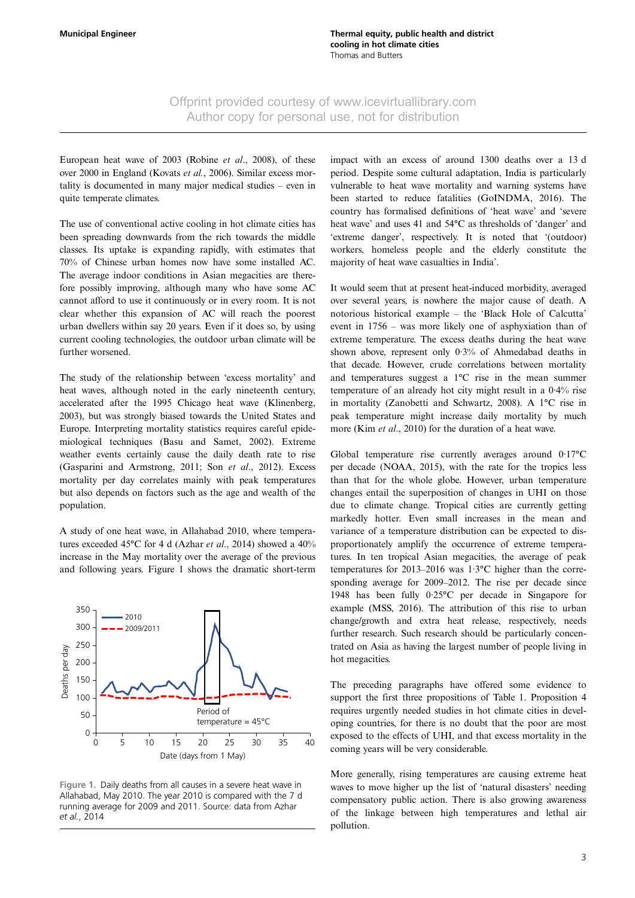European heat wave of 2003 (Robine et al[., 2008\)](#page-9-0), of these over 2000 in England [\(Kovats](#page-8-0) et al., 2006). Similar excess mortality is documented in many major medical studies – even in quite temperate climates.

The use of conventional active cooling in hot climate cities has been spreading downwards from the rich towards the middle classes. Its uptake is expanding rapidly, with estimates that 70% of Chinese urban homes now have some installed AC. The average indoor conditions in Asian megacities are therefore possibly improving, although many who have some AC cannot afford to use it continuously or in every room. It is not clear whether this expansion of AC will reach the poorest urban dwellers within say 20 years. Even if it does so, by using current cooling technologies, the outdoor urban climate will be further worsened.

The study of the relationship between 'excess mortality' and heat waves, although noted in the early nineteenth century, accelerated after the 1995 Chicago heat wave [\(Klinenberg,](#page-8-0) [2003\)](#page-8-0), but was strongly biased towards the United States and Europe. Interpreting mortality statistics requires careful epidemiological techniques ([Basu and Samet, 2002\)](#page-8-0). Extreme weather events certainly cause the daily death rate to rise ([Gasparini and Armstrong, 2011](#page-8-0); Son et al[., 2012\)](#page-9-0). Excess mortality per day correlates mainly with peak temperatures but also depends on factors such as the age and wealth of the population.

A study of one heat wave, in Allahabad 2010, where temperatures exceeded 45°C for 4 d (Azhar et al[., 2014\)](#page-8-0) showed a 40% increase in the May mortality over the average of the previous and following years. Figure 1 shows the dramatic short-term



Figure 1. Daily deaths from all causes in a severe heat wave in Allahabad, May 2010. The year 2010 is compared with the 7 d running average for 2009 and 2011. Source: data from [Azhar](#page-8-0) et al.[, 2014](#page-8-0)

impact with an excess of around 1300 deaths over a 13 d period. Despite some cultural adaptation, India is particularly vulnerable to heat wave mortality and warning systems have been started to reduce fatalities ([GoINDMA, 2016\)](#page-8-0). The country has formalised definitions of 'heat wave' and 'severe heat wave' and uses 41 and 54°C as thresholds of 'danger' and 'extreme danger', respectively. It is noted that '(outdoor) workers, homeless people and the elderly constitute the majority of heat wave casualties in India'.

It would seem that at present heat-induced morbidity, averaged over several years, is nowhere the major cause of death. A notorious historical example – the 'Black Hole of Calcutta' event in 1756 – was more likely one of asphyxiation than of extreme temperature. The excess deaths during the heat wave shown above, represent only 0·3% of Ahmedabad deaths in that decade. However, crude correlations between mortality and temperatures suggest a 1°C rise in the mean summer temperature of an already hot city might result in a 0·4% rise in mortality [\(Zanobetti and Schwartz, 2008\)](#page-9-0). A 1°C rise in peak temperature might increase daily mortality by much more (Kim *et al.*, 2010) for the duration of a heat wave.

Global temperature rise currently averages around 0·17°C per decade [\(NOAA, 2015\)](#page-9-0), with the rate for the tropics less than that for the whole globe. However, urban temperature changes entail the superposition of changes in UHI on those due to climate change. Tropical cities are currently getting markedly hotter. Even small increases in the mean and variance of a temperature distribution can be expected to disproportionately amplify the occurrence of extreme temperatures. In ten tropical Asian megacities, the average of peak temperatures for 2013–2016 was 1·3°C higher than the corresponding average for 2009–2012. The rise per decade since 1948 has been fully 0·25°C per decade in Singapore for example ([MSS, 2016](#page-8-0)). The attribution of this rise to urban change/growth and extra heat release, respectively, needs further research. Such research should be particularly concentrated on Asia as having the largest number of people living in hot megacities.

The preceding paragraphs have offered some evidence to support the first three propositions of [Table 1](#page-1-0). Proposition 4 requires urgently needed studies in hot climate cities in developing countries, for there is no doubt that the poor are most exposed to the effects of UHI, and that excess mortality in the coming years will be very considerable.

More generally, rising temperatures are causing extreme heat waves to move higher up the list of 'natural disasters' needing compensatory public action. There is also growing awareness of the linkage between high temperatures and lethal air pollution.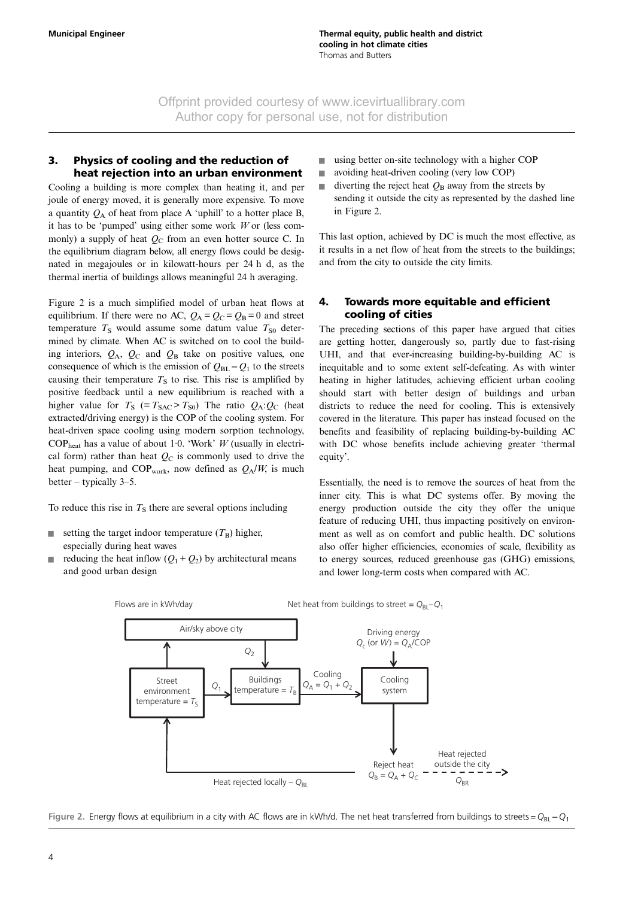# 3. Physics of cooling and the reduction of heat rejection into an urban environment

Cooling a building is more complex than heating it, and per joule of energy moved, it is generally more expensive. To move a quantity  $Q_A$  of heat from place A 'uphill' to a hotter place B, it has to be 'pumped' using either some work  $W$  or (less commonly) a supply of heat  $Q_C$  from an even hotter source C. In the equilibrium diagram below, all energy flows could be designated in megajoules or in kilowatt-hours per 24 h d, as the thermal inertia of buildings allows meaningful 24 h averaging.

Figure 2 is a much simplified model of urban heat flows at equilibrium. If there were no AC,  $Q_A = Q_C = Q_B = 0$  and street temperature  $T<sub>S</sub>$  would assume some datum value  $T<sub>S0</sub>$  determined by climate. When AC is switched on to cool the building interiors,  $Q_A$ ,  $Q_C$  and  $Q_B$  take on positive values, one consequence of which is the emission of  $Q_{BL}-Q_1$  to the streets causing their temperature  $T<sub>S</sub>$  to rise. This rise is amplified by positive feedback until a new equilibrium is reached with a higher value for  $T_s$  (=  $T_{SAC} > T_{S0}$ ) The ratio  $Q_A:Q_C$  (heat extracted/driving energy) is the COP of the cooling system. For heat-driven space cooling using modern sorption technology,  $COP<sub>heat</sub>$  has a value of about 1.0. 'Work' W (usually in electrical form) rather than heat  $Q_C$  is commonly used to drive the heat pumping, and COP<sub>work</sub>, now defined as  $Q_A/W$ , is much better – typically 3–5.

To reduce this rise in  $T<sub>S</sub>$  there are several options including

- setting the target indoor temperature  $(T_B)$  higher, especially during heat waves
- educing the heat inflow  $(Q_1 + Q_2)$  by architectural means and good urban design
- using better on-site technology with a higher COP
- $\Box$  avoiding heat-driven cooling (very low COP)
- diverting the reject heat  $Q_B$  away from the streets by sending it outside the city as represented by the dashed line in Figure 2.

This last option, achieved by DC is much the most effective, as it results in a net flow of heat from the streets to the buildings; and from the city to outside the city limits.

# 4. Towards more equitable and efficient cooling of cities

The preceding sections of this paper have argued that cities are getting hotter, dangerously so, partly due to fast-rising UHI, and that ever-increasing building-by-building AC is inequitable and to some extent self-defeating. As with winter heating in higher latitudes, achieving efficient urban cooling should start with better design of buildings and urban districts to reduce the need for cooling. This is extensively covered in the literature. This paper has instead focused on the benefits and feasibility of replacing building-by-building AC with DC whose benefits include achieving greater 'thermal equity'.

Essentially, the need is to remove the sources of heat from the inner city. This is what DC systems offer. By moving the energy production outside the city they offer the unique feature of reducing UHI, thus impacting positively on environment as well as on comfort and public health. DC solutions also offer higher efficiencies, economies of scale, flexibility as to energy sources, reduced greenhouse gas (GHG) emissions, and lower long-term costs when compared with AC.



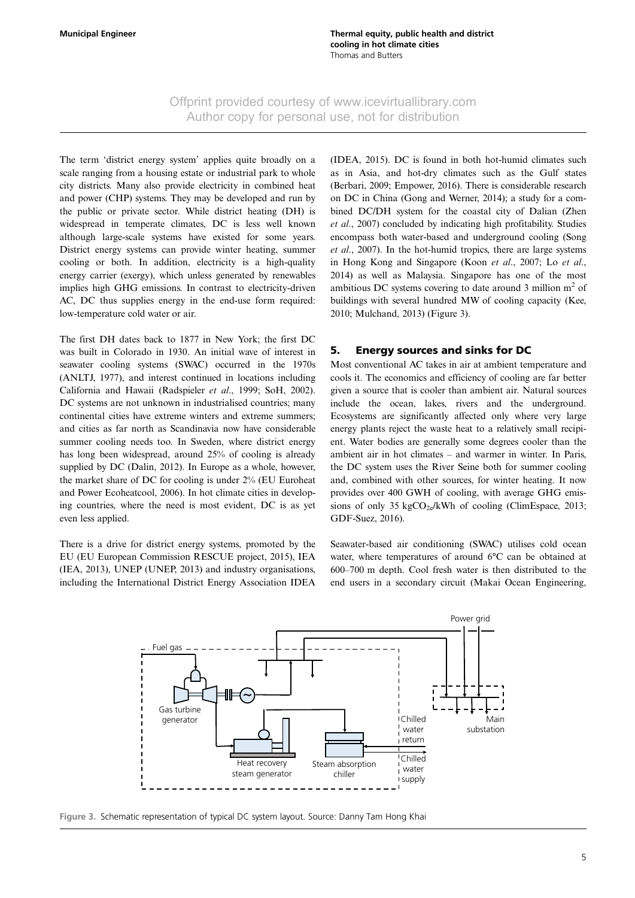Municipal Engineer Thermal equity, public health and district cooling in hot climate cities Thomas and Butters

> Offprint provided courtesy of www.icevirtuallibrary.com Author copy for personal use, not for distribution

The term 'district energy system' applies quite broadly on a scale ranging from a housing estate or industrial park to whole city districts. Many also provide electricity in combined heat and power (CHP) systems. They may be developed and run by the public or private sector. While district heating (DH) is widespread in temperate climates, DC is less well known although large-scale systems have existed for some years. District energy systems can provide winter heating, summer cooling or both. In addition, electricity is a high-quality energy carrier (exergy), which unless generated by renewables implies high GHG emissions. In contrast to electricity-driven AC, DC thus supplies energy in the end-use form required: low-temperature cold water or air.

The first DH dates back to 1877 in New York; the first DC was built in Colorado in 1930. An initial wave of interest in seawater cooling systems (SWAC) occurred in the 1970s ([ANLTJ, 1977\)](#page-7-0), and interest continued in locations including California and Hawaii ([Radspieler](#page-9-0) et al., 1999; [SoH, 2002\)](#page-9-0). DC systems are not unknown in industrialised countries; many continental cities have extreme winters and extreme summers; and cities as far north as Scandinavia now have considerable summer cooling needs too. In Sweden, where district energy has long been widespread, around 25% of cooling is already supplied by DC ([Dalin, 2012\)](#page-8-0). In Europe as a whole, however, the market share of DC for cooling is under 2% [\(EU Euroheat](#page-8-0) [and Power Ecoheatcool, 2006](#page-8-0)). In hot climate cities in developing countries, where the need is most evident, DC is as yet even less applied.

There is a drive for district energy systems, promoted by the EU [\(EU European Commission RESCUE project, 2015](#page-8-0)), IEA ([IEA, 2013\)](#page-8-0), UNEP ([UNEP, 2013\)](#page-9-0) and industry organisations, including the International District Energy Association IDEA

([IDEA, 2015\)](#page-8-0). DC is found in both hot-humid climates such as in Asia, and hot-dry climates such as the Gulf states ([Berbari, 2009](#page-8-0); [Empower, 2016](#page-8-0)). There is considerable research on DC in China ([Gong and Werner, 2014\)](#page-8-0); a study for a combined DC/DH system for the coastal city of Dalian [\(Zhen](#page-9-0) et al[., 2007\)](#page-9-0) concluded by indicating high profitability. Studies encompass both water-based and underground cooling ([Song](#page-9-0) et al[., 2007](#page-9-0)). In the hot-humid tropics, there are large systems in Hong Kong and Singapore (Koon et al[., 2007;](#page-8-0) Lo [et al](#page-8-0)., [2014\)](#page-8-0) as well as Malaysia. Singapore has one of the most ambitious DC systems covering to date around 3 million  $m<sup>2</sup>$  of buildings with several hundred MW of cooling capacity ([Kee,](#page-8-0) [2010; Mulchand, 2013](#page-8-0)) (Figure 3).

## 5. Energy sources and sinks for DC

Most conventional AC takes in air at ambient temperature and cools it. The economics and efficiency of cooling are far better given a source that is cooler than ambient air. Natural sources include the ocean, lakes, rivers and the underground. Ecosystems are significantly affected only where very large energy plants reject the waste heat to a relatively small recipient. Water bodies are generally some degrees cooler than the ambient air in hot climates – and warmer in winter. In Paris, the DC system uses the River Seine both for summer cooling and, combined with other sources, for winter heating. It now provides over 400 GWH of cooling, with average GHG emis-sions of only 35 kgCO<sub>2e</sub>/kWh of cooling [\(ClimEspace, 2013](#page-8-0); [GDF-Suez, 2016](#page-8-0)).

Seawater-based air conditioning (SWAC) utilises cold ocean water, where temperatures of around 6°C can be obtained at 600–700 m depth. Cool fresh water is then distributed to the end users in a secondary circuit [\(Makai Ocean Engineering,](#page-8-0)

Fuel gas Power grid Main substation Chilled water return Gas turbine generator

chiller

Figure 3. Schematic representation of typical DC system layout. Source: Danny Tam Hong Khai

Heat recovery steam generator

Chilled water **I**supply Steam absorption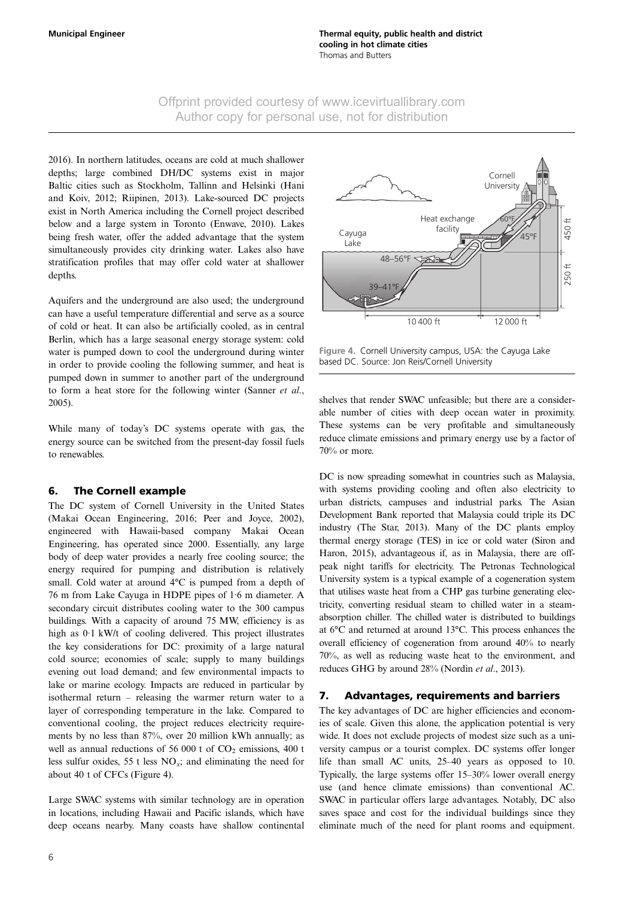[2016](#page-8-0)). In northern latitudes, oceans are cold at much shallower depths; large combined DH/DC systems exist in major Baltic cities such as Stockholm, Tallinn and Helsinki [\(Hani](#page-8-0) [and Koiv, 2012](#page-8-0); [Riipinen, 2013](#page-9-0)). Lake-sourced DC projects exist in North America including the Cornell project described below and a large system in Toronto [\(Enwave, 2010](#page-8-0)). Lakes being fresh water, offer the added advantage that the system simultaneously provides city drinking water. Lakes also have stratification profiles that may offer cold water at shallower depths.

Aquifers and the underground are also used; the underground can have a useful temperature differential and serve as a source of cold or heat. It can also be artificially cooled, as in central Berlin, which has a large seasonal energy storage system: cold water is pumped down to cool the underground during winter in order to provide cooling the following summer, and heat is pumped down in summer to another part of the underground to form a heat store for the following winter [\(Sanner](#page-9-0) et al., [2005](#page-9-0)).

While many of today's DC systems operate with gas, the energy source can be switched from the present-day fossil fuels to renewables.

## 6. The Cornell example

The DC system of Cornell University in the United States [\(Makai Ocean Engineering, 2016](#page-8-0); [Peer and Joyce, 2002](#page-9-0)), engineered with Hawaii-based company Makai Ocean Engineering, has operated since 2000. Essentially, any large body of deep water provides a nearly free cooling source; the energy required for pumping and distribution is relatively small. Cold water at around 4°C is pumped from a depth of 76 m from Lake Cayuga in HDPE pipes of 1·6 m diameter. A secondary circuit distributes cooling water to the 300 campus buildings. With a capacity of around 75 MW, efficiency is as high as 0·1 kW/t of cooling delivered. This project illustrates the key considerations for DC: proximity of a large natural cold source; economies of scale; supply to many buildings evening out load demand; and few environmental impacts to lake or marine ecology. Impacts are reduced in particular by isothermal return – releasing the warmer return water to a layer of corresponding temperature in the lake. Compared to conventional cooling, the project reduces electricity requirements by no less than 87%, over 20 million kWh annually; as well as annual reductions of 56 000 t of  $CO<sub>2</sub>$  emissions, 400 t less sulfur oxides, 55 t less  $NO_x$ ; and eliminating the need for about 40 t of CFCs (Figure 4).

Large SWAC systems with similar technology are in operation in locations, including Hawaii and Pacific islands, which have deep oceans nearby. Many coasts have shallow continental



Figure 4. Cornell University campus, USA: the Cayuga Lake based DC. Source: Jon Reis/Cornell University

shelves that render SWAC unfeasible; but there are a considerable number of cities with deep ocean water in proximity. These systems can be very profitable and simultaneously reduce climate emissions and primary energy use by a factor of 70% or more.

DC is now spreading somewhat in countries such as Malaysia, with systems providing cooling and often also electricity to urban districts, campuses and industrial parks. The Asian Development Bank reported that Malaysia could triple its DC industry ([The Star, 2013\)](#page-9-0). Many of the DC plants employ thermal energy storage (TES) in ice or cold water ([Siron and](#page-9-0) [Haron, 2015\)](#page-9-0), advantageous if, as in Malaysia, there are offpeak night tariffs for electricity. The Petronas Technological University system is a typical example of a cogeneration system that utilises waste heat from a CHP gas turbine generating electricity, converting residual steam to chilled water in a steamabsorption chiller. The chilled water is distributed to buildings at 6°C and returned at around 13°C. This process enhances the overall efficiency of cogeneration from around 40% to nearly 70%, as well as reducing waste heat to the environment, and reduces GHG by around 28% [\(Nordin](#page-9-0) et al., 2013).

## 7. Advantages, requirements and barriers

The key advantages of DC are higher efficiencies and economies of scale. Given this alone, the application potential is very wide. It does not exclude projects of modest size such as a university campus or a tourist complex. DC systems offer longer life than small AC units, 25–40 years as opposed to 10. Typically, the large systems offer 15–30% lower overall energy use (and hence climate emissions) than conventional AC. SWAC in particular offers large advantages. Notably, DC also saves space and cost for the individual buildings since they eliminate much of the need for plant rooms and equipment.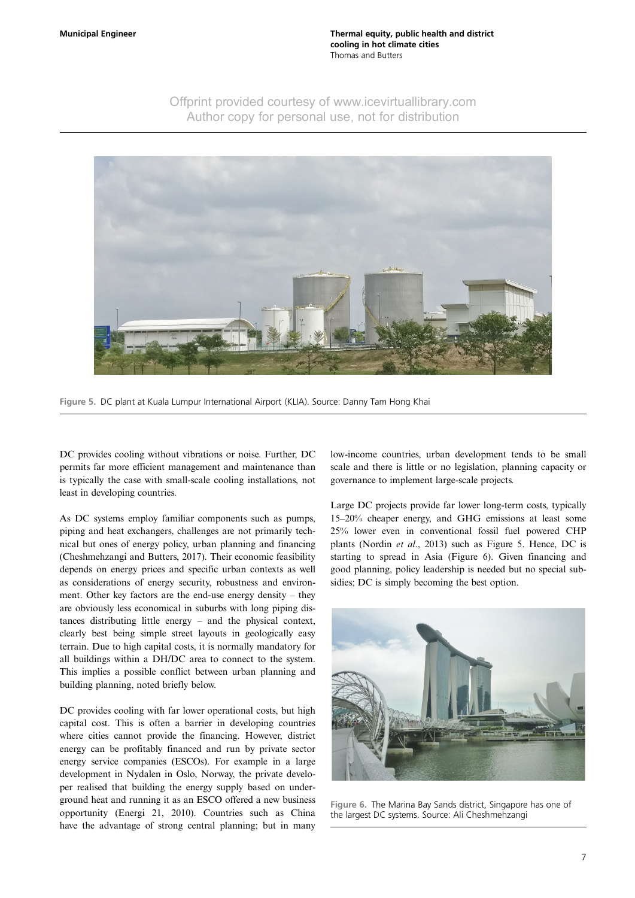

Figure 5. DC plant at Kuala Lumpur International Airport (KLIA). Source: Danny Tam Hong Khai

DC provides cooling without vibrations or noise. Further, DC permits far more efficient management and maintenance than is typically the case with small-scale cooling installations, not least in developing countries.

As DC systems employ familiar components such as pumps, piping and heat exchangers, challenges are not primarily technical but ones of energy policy, urban planning and financing ([Cheshmehzangi and Butters, 2017\)](#page-8-0). Their economic feasibility depends on energy prices and specific urban contexts as well as considerations of energy security, robustness and environment. Other key factors are the end-use energy density – they are obviously less economical in suburbs with long piping distances distributing little energy – and the physical context, clearly best being simple street layouts in geologically easy terrain. Due to high capital costs, it is normally mandatory for all buildings within a DH/DC area to connect to the system. This implies a possible conflict between urban planning and building planning, noted briefly below.

DC provides cooling with far lower operational costs, but high capital cost. This is often a barrier in developing countries where cities cannot provide the financing. However, district energy can be profitably financed and run by private sector energy service companies (ESCOs). For example in a large development in Nydalen in Oslo, Norway, the private developer realised that building the energy supply based on underground heat and running it as an ESCO offered a new business opportunity ([Energi 21, 2010\)](#page-8-0). Countries such as China have the advantage of strong central planning; but in many

low-income countries, urban development tends to be small scale and there is little or no legislation, planning capacity or governance to implement large-scale projects.

Large DC projects provide far lower long-term costs, typically 15–20% cheaper energy, and GHG emissions at least some 25% lower even in conventional fossil fuel powered CHP plants ([Nordin](#page-9-0) et al., 2013) such as Figure 5. Hence, DC is starting to spread in Asia (Figure 6). Given financing and good planning, policy leadership is needed but no special subsidies; DC is simply becoming the best option.



Figure 6. The Marina Bay Sands district, Singapore has one of the largest DC systems. Source: Ali Cheshmehzangi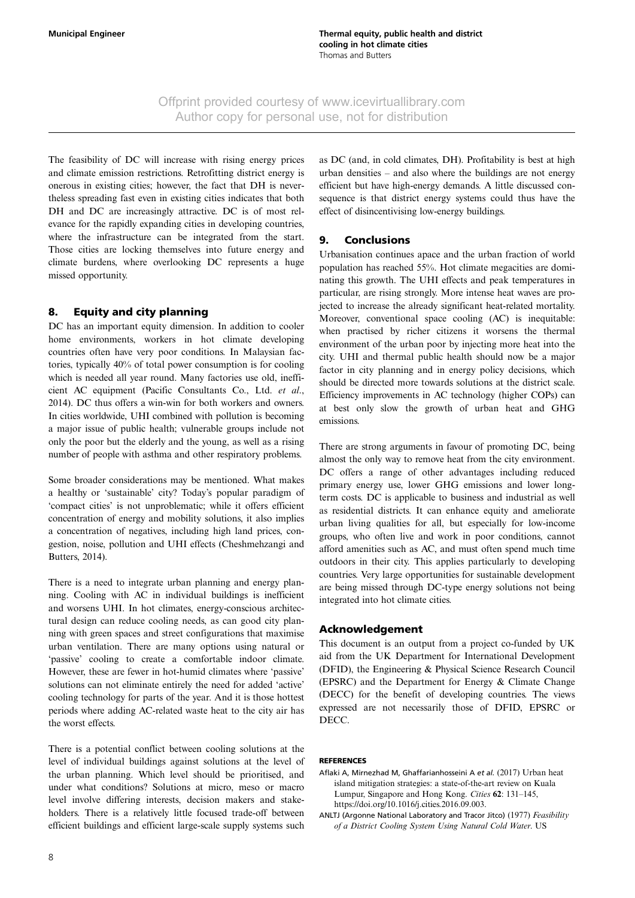<span id="page-7-0"></span>The feasibility of DC will increase with rising energy prices and climate emission restrictions. Retrofitting district energy is onerous in existing cities; however, the fact that DH is nevertheless spreading fast even in existing cities indicates that both DH and DC are increasingly attractive. DC is of most relevance for the rapidly expanding cities in developing countries, where the infrastructure can be integrated from the start. Those cities are locking themselves into future energy and climate burdens, where overlooking DC represents a huge missed opportunity.

# 8. Equity and city planning

DC has an important equity dimension. In addition to cooler home environments, workers in hot climate developing countries often have very poor conditions. In Malaysian factories, typically 40% of total power consumption is for cooling which is needed all year round. Many factories use old, inefficient AC equipment [\(Pacific Consultants Co., Ltd.](#page-9-0) et al., [2014](#page-9-0)). DC thus offers a win-win for both workers and owners. In cities worldwide, UHI combined with pollution is becoming a major issue of public health; vulnerable groups include not only the poor but the elderly and the young, as well as a rising number of people with asthma and other respiratory problems.

Some broader considerations may be mentioned. What makes a healthy or 'sustainable' city? Today's popular paradigm of 'compact cities' is not unproblematic; while it offers efficient concentration of energy and mobility solutions, it also implies a concentration of negatives, including high land prices, congestion, noise, pollution and UHI effects [\(Cheshmehzangi and](#page-8-0) [Butters, 2014](#page-8-0)).

There is a need to integrate urban planning and energy planning. Cooling with AC in individual buildings is inefficient and worsens UHI. In hot climates, energy-conscious architectural design can reduce cooling needs, as can good city planning with green spaces and street configurations that maximise urban ventilation. There are many options using natural or 'passive' cooling to create a comfortable indoor climate. However, these are fewer in hot-humid climates where 'passive' solutions can not eliminate entirely the need for added 'active' cooling technology for parts of the year. And it is those hottest periods where adding AC-related waste heat to the city air has the worst effects.

There is a potential conflict between cooling solutions at the level of individual buildings against solutions at the level of the urban planning. Which level should be prioritised, and under what conditions? Solutions at micro, meso or macro level involve differing interests, decision makers and stakeholders. There is a relatively little focused trade-off between efficient buildings and efficient large-scale supply systems such

as DC (and, in cold climates, DH). Profitability is best at high urban densities – and also where the buildings are not energy efficient but have high-energy demands. A little discussed consequence is that district energy systems could thus have the effect of disincentivising low-energy buildings.

# 9. Conclusions

Urbanisation continues apace and the urban fraction of world population has reached 55%. Hot climate megacities are dominating this growth. The UHI effects and peak temperatures in particular, are rising strongly. More intense heat waves are projected to increase the already significant heat-related mortality. Moreover, conventional space cooling (AC) is inequitable: when practised by richer citizens it worsens the thermal environment of the urban poor by injecting more heat into the city. UHI and thermal public health should now be a major factor in city planning and in energy policy decisions, which should be directed more towards solutions at the district scale. Efficiency improvements in AC technology (higher COPs) can at best only slow the growth of urban heat and GHG emissions.

There are strong arguments in favour of promoting DC, being almost the only way to remove heat from the city environment. DC offers a range of other advantages including reduced primary energy use, lower GHG emissions and lower longterm costs. DC is applicable to business and industrial as well as residential districts. It can enhance equity and ameliorate urban living qualities for all, but especially for low-income groups, who often live and work in poor conditions, cannot afford amenities such as AC, and must often spend much time outdoors in their city. This applies particularly to developing countries. Very large opportunities for sustainable development are being missed through DC-type energy solutions not being integrated into hot climate cities.

# Acknowledgement

This document is an output from a project co-funded by UK aid from the UK Department for International Development (DFID), the Engineering & Physical Science Research Council (EPSRC) and the Department for Energy & Climate Change (DECC) for the benefit of developing countries. The views expressed are not necessarily those of DFID, EPSRC or DECC.

#### **REFERENCES**

- Aflaki A, Mirnezhad M, Ghaffarianhosseini A et al. (2017) Urban heat island mitigation strategies: a state-of-the-art review on Kuala Lumpur, Singapore and Hong Kong. Cities 62: 131–145, <https://doi.org/10.1016/j.cities.2016.09.003>.
- ANLTJ (Argonne National Laboratory and Tracor Jitco) (1977) Feasibility of a District Cooling System Using Natural Cold Water. US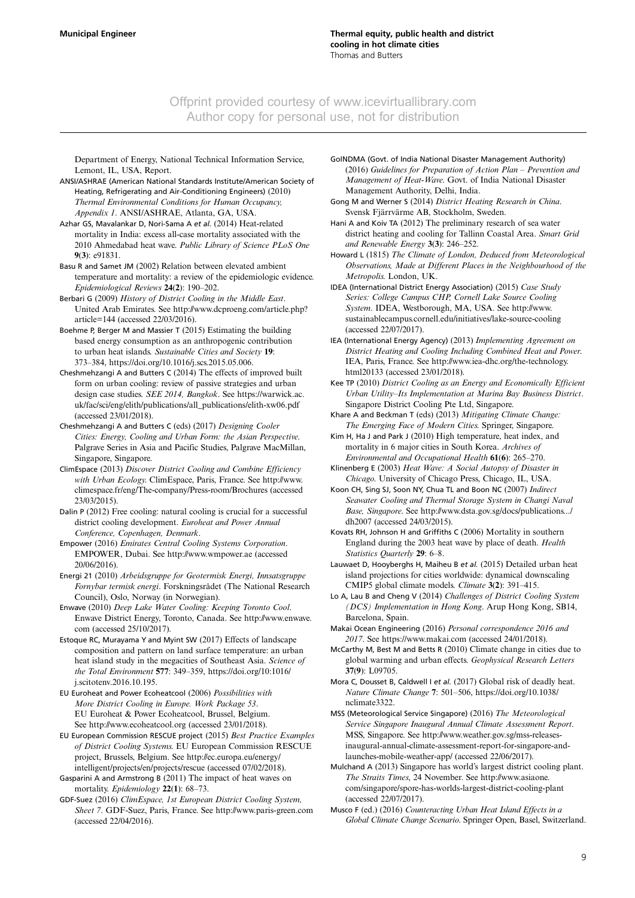<span id="page-8-0"></span>Department of Energy, National Technical Information Service, Lemont, IL, USA, Report.

- ANSI/ASHRAE (American National Standards Institute/American Society of Heating, Refrigerating and Air-Conditioning Engineers) (2010) Thermal Environmental Conditions for Human Occupancy, Appendix 1. ANSI/ASHRAE, Atlanta, GA, USA.
- Azhar GS, Mavalankar D, Nori-Sama A et al. (2014) Heat-related mortality in India: excess all-case mortality associated with the 2010 Ahmedabad heat wave. Public Library of Science PLoS One 9(3): e91831.
- Basu R and Samet JM (2002) Relation between elevated ambient temperature and mortality: a review of the epidemiologic evidence. Epidemiological Reviews 24(2): 190–202.
- Berbari G (2009) History of District Cooling in the Middle East. United Arab Emirates. See [http://www.dcproeng.com/article.php?](http://www.dcproeng.com/article.php?article=144) [article=144](http://www.dcproeng.com/article.php?article=144) (accessed 22/03/2016).
- Boehme P, Berger M and Massier T (2015) Estimating the building based energy consumption as an anthropogenic contribution to urban heat islands. Sustainable Cities and Society 19: 373–384, [https://doi.org/10.1016/j.scs.2015.05.006.](https://doi.org/10.1016/j.scs.2015.05.006)
- Cheshmehzangi A and Butters C (2014) The effects of improved built form on urban cooling: review of passive strategies and urban design case studies. SEE 2014, Bangkok. See [https://warwick.ac.](https://warwick.ac.uk/fac/sci/eng/elith/publications/all_publications/elith-xw06.pdf) [uk/fac/sci/eng/elith/publications/all\\_publications/elith-xw06.pdf](https://warwick.ac.uk/fac/sci/eng/elith/publications/all_publications/elith-xw06.pdf) (accessed 23/01/2018).
- Cheshmehzangi A and Butters C (eds) (2017) Designing Cooler Cities: Energy, Cooling and Urban Form: the Asian Perspective. Palgrave Series in Asia and Pacific Studies, Palgrave MacMillan, Singapore, Singapore.
- ClimEspace (2013) Discover District Cooling and Combine Efficiency with Urban Ecology. ClimEspace, Paris, France. See [http://www.](http://www.climespace.fr/eng/The-company/Press-room/Brochures) [climespace.fr/eng/The-company/Press-room/Brochures](http://www.climespace.fr/eng/The-company/Press-room/Brochures) (accessed 23/03/2015).
- Dalin P (2012) Free cooling: natural cooling is crucial for a successful district cooling development. Euroheat and Power Annual Conference, Copenhagen, Denmark.
- Empower (2016) Emirates Central Cooling Systems Corporation. EMPOWER, Dubai. See<http://www.wmpower.ae> (accessed 20/06/2016).
- Energi 21 (2010) Arbeidsgruppe for Geotermisk Energi, Innsatsgruppe Fornybar termisk energi. Forskningsrådet (The National Research Council), Oslo, Norway (in Norwegian).
- Enwave (2010) Deep Lake Water Cooling: Keeping Toronto Cool. Enwave District Energy, Toronto, Canada. See [http://www.enwave.](http://www.enwave.com) [com](http://www.enwave.com) (accessed 25/10/2017).
- Estoque RC, Murayama Y and Myint SW (2017) Effects of landscape composition and pattern on land surface temperature: an urban heat island study in the megacities of Southeast Asia. Science of the Total Environment 577: 349–359, [https://doi.org/10:1016/](https://doi.org/10:1016/j.scitotenv.2016.10.195) [j.scitotenv.2016.10.195.](https://doi.org/10:1016/j.scitotenv.2016.10.195)
- EU Euroheat and Power Ecoheatcool (2006) Possibilities with More District Cooling in Europe. Work Package 53. EU Euroheat & Power Ecoheatcool, Brussel, Belgium. See<http://www.ecoheatcool.org> (accessed 23/01/2018).
- EU European Commission RESCUE project (2015) Best Practice Examples of District Cooling Systems. EU European Commission RESCUE project, Brussels, Belgium. See [http://ec.europa.eu/energy/](http://ec.europa.eu/energy/intelligent/projects/en/projects/rescue) [intelligent/projects/en/projects/rescue](http://ec.europa.eu/energy/intelligent/projects/en/projects/rescue) (accessed 07/02/2018).
- Gasparini A and Armstrong B (2011) The impact of heat waves on mortality. Epidemiology 22(1): 68-73.
- GDF-Suez (2016) ClimEspace, 1st European District Cooling System, Sheet 7. GDF-Suez, Paris, France. See<http://www.paris-green.com> (accessed 22/04/2016).
- GoINDMA (Govt. of India National Disaster Management Authority) (2016) Guidelines for Preparation of Action Plan – Prevention and Management of Heat-Wave. Govt. of India National Disaster Management Authority, Delhi, India.
- Gong M and Werner S (2014) District Heating Research in China. Svensk Fjärrvärme AB, Stockholm, Sweden.
- Hani A and Koiv TA (2012) The preliminary research of sea water district heating and cooling for Tallinn Coastal Area. Smart Grid and Renewable Energy 3(3): 246–252.
- Howard L (1815) The Climate of London, Deduced from Meteorological Observations, Made at Different Places in the Neighbourhood of the Metropolis. London, UK.
- IDEA (International District Energy Association) (2015) Case Study Series: College Campus CHP, Cornell Lake Source Cooling System. IDEA, Westborough, MA, USA. See [http://www.](http://www.sustainablecampus.cornell.edu/initiatives/lake-source-cooling) [sustainablecampus.cornell.edu/initiatives/lake-source-cooling](http://www.sustainablecampus.cornell.edu/initiatives/lake-source-cooling) (accessed 22/07/2017).
- IEA (International Energy Agency) (2013) Implementing Agreement on District Heating and Cooling Including Combined Heat and Power. IEA, Paris, France. See [http://www.iea-dhc.org/the-technology.](http://www.iea-dhc.org/the-technology.html20133) [html20133](http://www.iea-dhc.org/the-technology.html20133) (accessed 23/01/2018).
- Kee TP (2010) District Cooling as an Energy and Economically Efficient Urban Utility–Its Implementation at Marina Bay Business District. Singapore District Cooling Pte Ltd, Singapore.
- Khare A and Beckman T (eds) (2013) Mitigating Climate Change: The Emerging Face of Modern Cities. Springer, Singapore.
- Kim H, Ha J and Park J (2010) High temperature, heat index, and mortality in 6 major cities in South Korea. Archives of Environmental and Occupational Health 61(6): 265–270.
- Klinenberg E (2003) Heat Wave: A Social Autopsy of Disaster in Chicago. University of Chicago Press, Chicago, IL, USA.
- Koon CH, Sing SJ, Soon NY, Chua TL and Boon NC (2007) Indirect Seawater Cooling and Thermal Storage System in Changi Naval Base, Singapore. See [http://www.dsta.gov.sg/docs/publications.../](http://www.dsta.gov.sg/docs/publications.../dh2007) [dh2007](http://www.dsta.gov.sg/docs/publications.../dh2007) (accessed 24/03/2015).
- Kovats RH, Johnson H and Griffiths C (2006) Mortality in southern England during the 2003 heat wave by place of death. Health Statistics Quarterly 29: 6–8.
- Lauwaet D, Hooyberghs H, Maiheu B et al. (2015) Detailed urban heat island projections for cities worldwide: dynamical downscaling CMIP5 global climate models. Climate 3(2): 391–415.
- Lo A, Lau B and Cheng V (2014) Challenges of District Cooling System (DCS) Implementation in Hong Kong. Arup Hong Kong, SB14, Barcelona, Spain.
- Makai Ocean Engineering (2016) Personal correspondence 2016 and 2017. See<https://www.makai.com> (accessed 24/01/2018).
- McCarthy M, Best M and Betts R (2010) Climate change in cities due to global warming and urban effects. Geophysical Research Letters 37(9): L09705.
- Mora C, Dousset B, Caldwell I et al. (2017) Global risk of deadly heat. Nature Climate Change 7: 501–506, [https://doi.org/10.1038/](https://doi.org/10.1038/nclimate3322) [nclimate3322](https://doi.org/10.1038/nclimate3322).
- MSS (Meteorological Service Singapore) (2016) The Meteorological Service Singapore Inaugural Annual Climate Assessment Report. MSS, Singapore. See [http://www.weather.gov.sg/mss-releases](http://www.weather.gov.sg/mss-releases-inaugural-annual-climate-assessment-report-for-singapore-and-launches-mobile-weather-app/)[inaugural-annual-climate-assessment-report-for-singapore-and](http://www.weather.gov.sg/mss-releases-inaugural-annual-climate-assessment-report-for-singapore-and-launches-mobile-weather-app/)[launches-mobile-weather-app/](http://www.weather.gov.sg/mss-releases-inaugural-annual-climate-assessment-report-for-singapore-and-launches-mobile-weather-app/) (accessed 22/06/2017).
- Mulchand A (2013) Singapore has world's largest district cooling plant. The Straits Times, 24 November. See [http://www.asiaone.](http://www.asiaone.com/singapore/spore-has-worlds-largest-district-cooling-plant) [com/singapore/spore-has-worlds-largest-district-cooling-plant](http://www.asiaone.com/singapore/spore-has-worlds-largest-district-cooling-plant) (accessed 22/07/2017).
- Musco F (ed.) (2016) Counteracting Urban Heat Island Effects in a Global Climate Change Scenario. Springer Open, Basel, Switzerland.